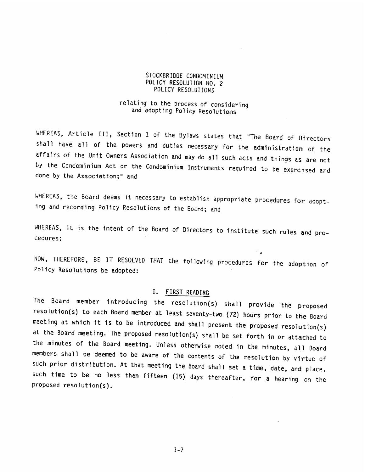### 5TOCKBRIDGE CONDOMINIUM 5TOCKBRIDGECONDOMINIUMPOLICY RESOLUTION NO, 2 POLICY RESOLUTIONS

## relating to the process of considering and adopting Policy Resolutions

WHEREAS, Article III, Section 1 of the Bylaws states that "The Board of Directors<br>shall have all of the powers and duties necessary for the administration of the<br>affairs of the Unit Owners Association and may do all such a by the Condominium Act or the Condominium Instruments required to be exercised and done by the Association;" and

WHEREAS, the Board deems it necessary to establish appropriate procedures for adoptand recording Policy Resolutions of the Board; and

WHEREAS, it is the intent of the Board of Directors to institute such rules and pro-<br>cedures:

NOW, THEREFORE, BE IT RESOLVED THAT the following procedures for the adoption of<br>Policy Resolutions be adopted:

### L FtRST READING

The Board member introducing the resolution(s) shall provide the proposed meeting at which it is to be introduced and shall present the proposed resolution(s) at the Board meeting. The proposed resolution(s) shall be set forth in or attached to<br>the minutes of the Board meeting. Unless otherwise noted in the minutes, all Board members shall be deemed to be aware of the contents of the resolution by virtue of<br>such prior distribution. At that meeting the Board shall set a time, date, and place, such time to be no less than fifteen (15) days thereafter, for a hearing on the proposed resolution(s). POLICY ASSALTIONS<br>
POLICY ASSOLUTIONS<br>
The relating to the process of considering<br>
and acopting Policy Resolutions<br>
and acopting Policy Resolutions<br>
Shall have all of the powers and duties necessary for the acministration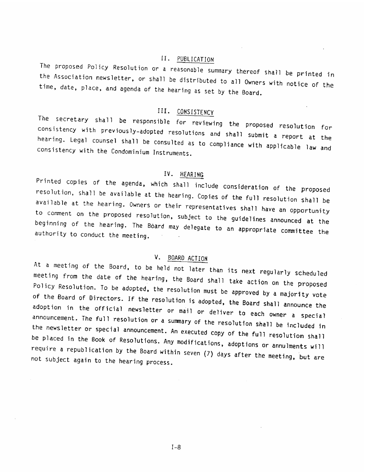# II, PUBLICATION

The proposed Policy Resolution or a reasonable summary thereof shall be printed in the Association newsletter, or shall be distributed to all a printed in the Association newsletter, or shall be distributed to all a time, date, place, and agenda of the hearing as set by the Board. ion newsletter, or shall be distributed to all Owners with notice of the place, and agenda of the hearing as set by the Board.

## III, CONSISTENCY

The secretary shall be responsible for reviewing the proposed resolution for hearing. Legal counsel shall be Consulted as to compliance with applicable law and the Condominium Instruments. consistency with previously-adopted resolutions and shall submit a report at the consistency with the Condominium Instruments.

IV. HEARING<br>Printed copies of the agenda, which shall include consideration of the proposed resolution, shall be available at the hearing. Copies of the full resolution shall be available at the hearing. Owners or their representatives shall have an opportunity to comment on the proposed resolution, subject to th

## V. BOARD ACTION

At a meeting of the Board, to be held not later than its next regularly scheduled Policy Resolution. To be adopted, the resolution must be approved by a majority vote meeting from the date of the hearing, the Board shall take action on the proposed of the Board Policy Resolution. To be adopted, the resolution must be approved by a majority vote<br>of the Board of Directors. If the resolution is adopted, the Board shall announce the<br>adoption in the official newsletter or mail or deli the announcement. The full resolution or a summary of the resolution shall be included in<br>the newsletter or special announcement. An executed copy of the full resolution shall<br>be placed in the Book of Resolutions. Any modifica not subject require a republication by the Board within seven (7) days after the meeting, but are<br>not subject again to the hearing process. The proposad college Resolution of in <u>FIBLIATION</u><br>(In <u>the Association readester,</u> or small be distributed to all Oweners with notice of the<br>figure distributed by the distributed to all Oweners with notice of the<br>figure d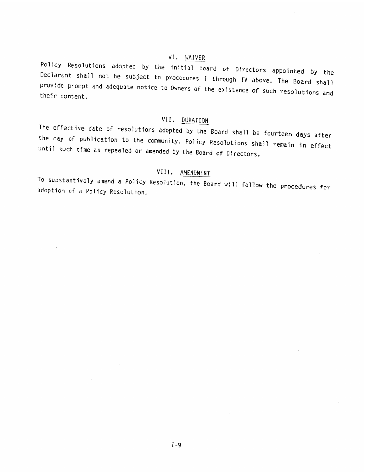VI. HAIVER<br>Policy Resolutions adopted by the initial Board of Directors appointed by the Declarant shall not be subject to procedures I through IV above. The Board shall<br>provide prompt and adequate notice to Owners of the existence of such resolutions and<br>their content. <sup>2</sup>c)icy Resolutions acouted by the initial Board of Directors appointed by the Decirator Shall not be subject to processers I through 1V above. The Board shall provide prompt and definate notice to Domers of the existenc

VII. DURATION<br>The effective date of resolutions adopted by the Board shall be fourteen days after the day of publication to the community. Policy Resolutions shall remain in effect<br>until such time as repealed or amended by the Board of Directors.

# VIII. AMENDMENT

To substantively amend a Policy Resolution, the Board will follow the procedures for<br>adoption of a Policy Resolution.